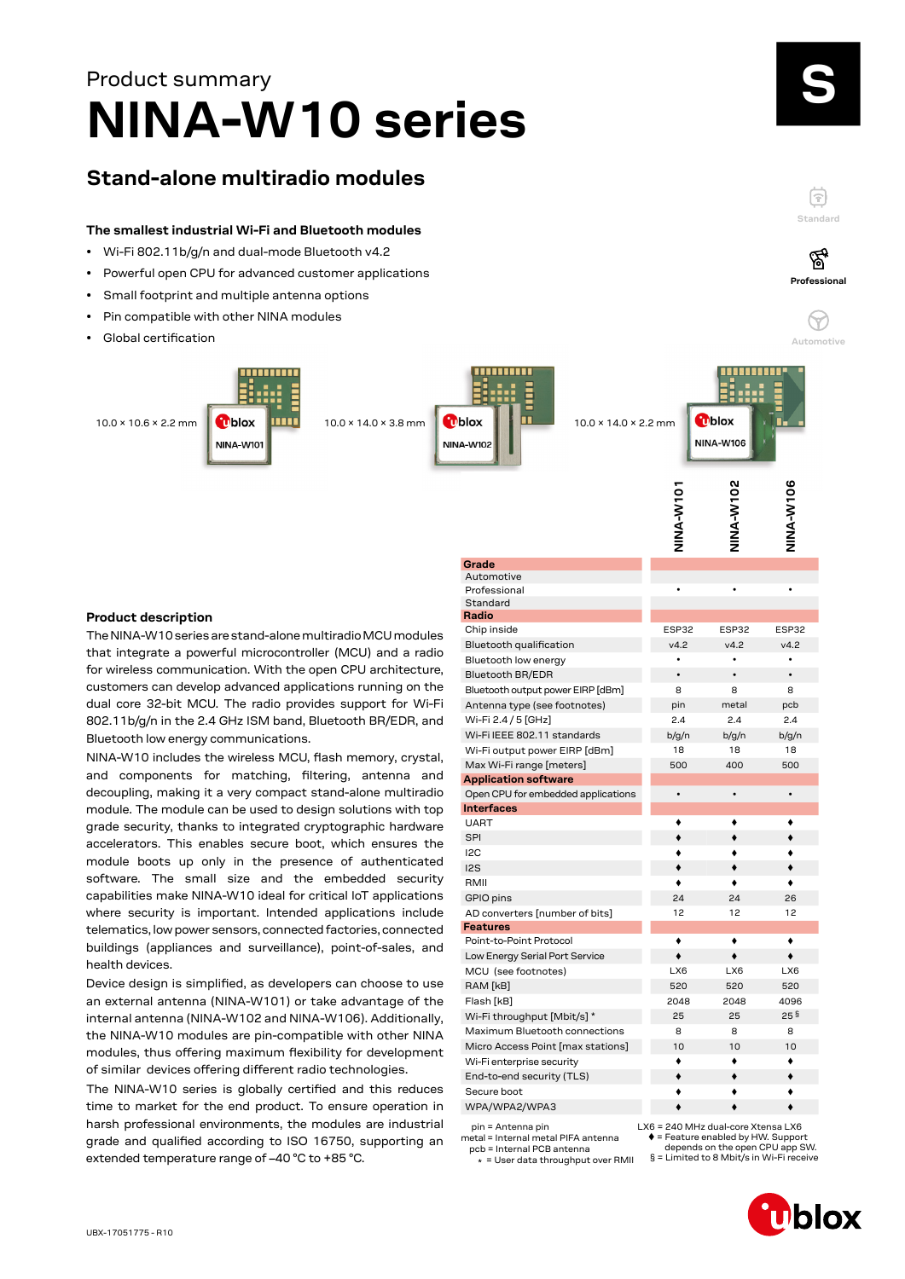# **NINA-W10 series** Product summary

## **Stand-alone multiradio modules**

#### **The smallest industrial Wi-Fi and Bluetooth modules**

- Wi-Fi 802.11b/g/n and dual-mode Bluetooth v4.2
- Powerful open CPU for advanced customer applications
- Small footprint and multiple antenna options
- Pin compatible with other NINA modules
- Global certification



**Grade**

**Radio**

#### **Product description**

The NINA-W10 series are stand-alone multiradio MCU modules that integrate a powerful microcontroller (MCU) and a radio for wireless communication. With the open CPU architecture, customers can develop advanced applications running on the dual core 32-bit MCU. The radio provides support for Wi-Fi 802.11b/g/n in the 2.4 GHz ISM band, Bluetooth BR/EDR, and Bluetooth low energy communications.

NINA-W10 includes the wireless MCU, flash memory, crystal, and components for matching, filtering, antenna and decoupling, making it a very compact stand-alone multiradio module. The module can be used to design solutions with top grade security, thanks to integrated cryptographic hardware accelerators. This enables secure boot, which ensures the module boots up only in the presence of authenticated software. The small size and the embedded security capabilities make NINA-W10 ideal for critical IoT applications where security is important. Intended applications include telematics, low power sensors, connected factories, connected buildings (appliances and surveillance), point-of-sales, and health devices.

Device design is simplified, as developers can choose to use an external antenna (NINA-W101) or take advantage of the internal antenna (NINA-W102 and NINA-W106). Additionally, the NINA-W10 modules are pin-compatible with other NINA modules, thus offering maximum flexibility for development of similar devices offering different radio technologies.

The NINA-W10 series is globally certified and this reduces time to market for the end product. To ensure operation in harsh professional environments, the modules are industrial grade and qualified according to ISO 16750, supporting an extended temperature range of –40 °C to +85 °C.

|                                    | <b>OLN-A-ANIN</b> | <b>NINA-W102</b> | NINA-W106 |
|------------------------------------|-------------------|------------------|-----------|
|                                    |                   |                  |           |
|                                    |                   |                  |           |
|                                    |                   |                  |           |
| Grade                              |                   |                  |           |
| Automotive<br>Professional         |                   |                  |           |
| Standard                           |                   |                  |           |
| Radio                              |                   |                  |           |
| Chip inside                        | ESP32             | ESP32            | ESP32     |
| Bluetooth qualification            | v4.2              | v4.2             | v4.2      |
| Bluetooth low energy               | $\bullet$         | $\bullet$        |           |
| <b>Bluetooth BR/EDR</b>            | $\bullet$         | $\bullet$        | $\bullet$ |
| Bluetooth output power EIRP [dBm]  | 8                 | 8                | 8         |
| Antenna type (see footnotes)       | pin               | metal            | pcb       |
| Wi-Fi 2.4 / 5 [GHz]                | 2.4               | 2.4              | 2.4       |
| Wi-Fi IEEE 802.11 standards        | b/g/n             | b/g/n            | b/g/n     |
| Wi-Fi output power EIRP [dBm]      | 18                | 18               | 18        |
| Max Wi-Fi range [meters]           | 500               | 400              | 500       |
| <b>Application software</b>        |                   |                  |           |
| Open CPU for embedded applications | $\bullet$         | $\bullet$        | $\bullet$ |
| <b>Interfaces</b>                  |                   |                  |           |
| <b>UART</b>                        |                   |                  |           |
| <b>SPI</b>                         |                   |                  |           |
| 12C                                |                   |                  |           |
| 12S                                |                   |                  |           |
| RMII                               |                   |                  |           |
| GPIO pins                          | 24                | 24               | 26        |
| AD converters [number of bits]     | 12                | 12               | 12        |
| <b>Features</b>                    |                   |                  |           |
| Point-to-Point Protocol            | ٠                 | ٠                | ٠         |
| Low Energy Serial Port Service     | $\bullet$         | ٠                | ٠         |
| MCU (see footnotes)                | LX6               | LX6              | LX6       |
| RAM [kB]                           | 520               | 520              | 520       |
| Flash [kB]                         | 2048              | 2048             | 4096      |
| Wi-Fi throughput [Mbit/s] *        | 25                | 25               | 25 §      |
| Maximum Bluetooth connections      | 8                 | 8                | 8         |
| Micro Access Point [max stations]  | 10                | 10               | 10        |
| Wi-Fi enterprise security          |                   |                  |           |
| End-to-end security (TLS)          |                   |                  |           |
| Secure boot                        |                   |                  |           |
| WPA/WPA2/WPA3                      |                   |                  |           |
|                                    |                   |                  |           |

 pin = Antenna pin metal = Internal metal PIFA antenna

pcb = Internal PCB antenna

\* = User data throughput over RMII



= Feature enabled by HW. Support depends on the open CPU app SW.

§ = Limited to 8 Mbit/s in Wi-Fi receive

**Standard**

F

**Professional**

′ିବୁ

**Automotive**

 $\overline{0}$ 

 $\heartsuit$ 

Dblox